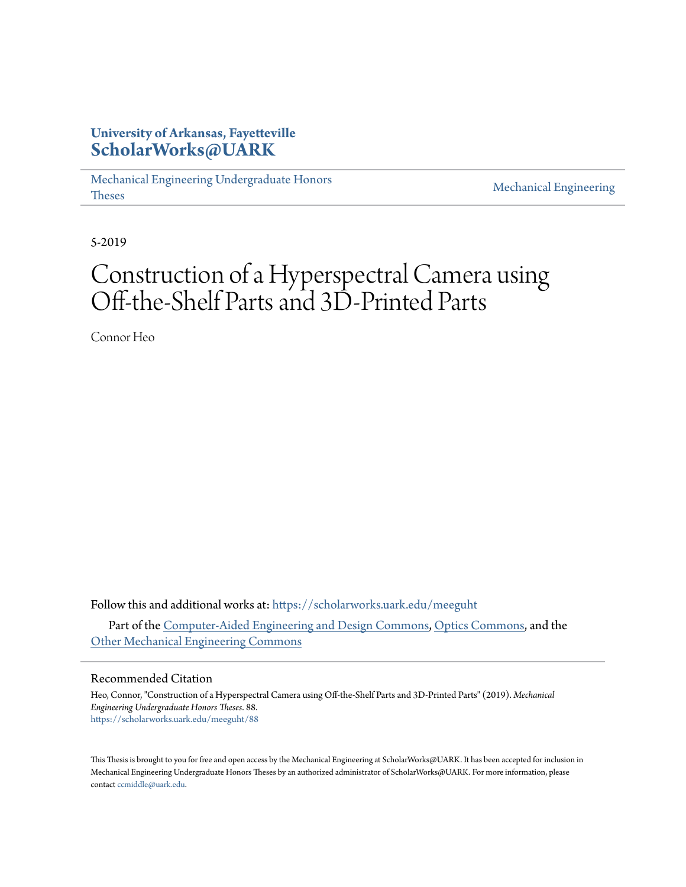### **University of Arkansas, Fayetteville [ScholarWorks@UARK](https://scholarworks.uark.edu?utm_source=scholarworks.uark.edu%2Fmeeguht%2F88&utm_medium=PDF&utm_campaign=PDFCoverPages)**

[Mechanical Engineering Undergraduate Honors](https://scholarworks.uark.edu/meeguht?utm_source=scholarworks.uark.edu%2Fmeeguht%2F88&utm_medium=PDF&utm_campaign=PDFCoverPages) [Theses](https://scholarworks.uark.edu/meeguht?utm_source=scholarworks.uark.edu%2Fmeeguht%2F88&utm_medium=PDF&utm_campaign=PDFCoverPages)

[Mechanical Engineering](https://scholarworks.uark.edu/meeg?utm_source=scholarworks.uark.edu%2Fmeeguht%2F88&utm_medium=PDF&utm_campaign=PDFCoverPages)

5-2019

# Construction of a Hyperspectral Camera using Off-the-Shelf Parts and 3D-Printed Parts

Connor Heo

Follow this and additional works at: [https://scholarworks.uark.edu/meeguht](https://scholarworks.uark.edu/meeguht?utm_source=scholarworks.uark.edu%2Fmeeguht%2F88&utm_medium=PDF&utm_campaign=PDFCoverPages) Part of the [Computer-Aided Engineering and Design Commons,](http://network.bepress.com/hgg/discipline/297?utm_source=scholarworks.uark.edu%2Fmeeguht%2F88&utm_medium=PDF&utm_campaign=PDFCoverPages) [Optics Commons](http://network.bepress.com/hgg/discipline/204?utm_source=scholarworks.uark.edu%2Fmeeguht%2F88&utm_medium=PDF&utm_campaign=PDFCoverPages), and the [Other Mechanical Engineering Commons](http://network.bepress.com/hgg/discipline/304?utm_source=scholarworks.uark.edu%2Fmeeguht%2F88&utm_medium=PDF&utm_campaign=PDFCoverPages)

#### Recommended Citation

Heo, Connor, "Construction of a Hyperspectral Camera using Off-the-Shelf Parts and 3D-Printed Parts" (2019). *Mechanical Engineering Undergraduate Honors Theses*. 88. [https://scholarworks.uark.edu/meeguht/88](https://scholarworks.uark.edu/meeguht/88?utm_source=scholarworks.uark.edu%2Fmeeguht%2F88&utm_medium=PDF&utm_campaign=PDFCoverPages)

This Thesis is brought to you for free and open access by the Mechanical Engineering at ScholarWorks@UARK. It has been accepted for inclusion in Mechanical Engineering Undergraduate Honors Theses by an authorized administrator of ScholarWorks@UARK. For more information, please contact [ccmiddle@uark.edu](mailto:ccmiddle@uark.edu).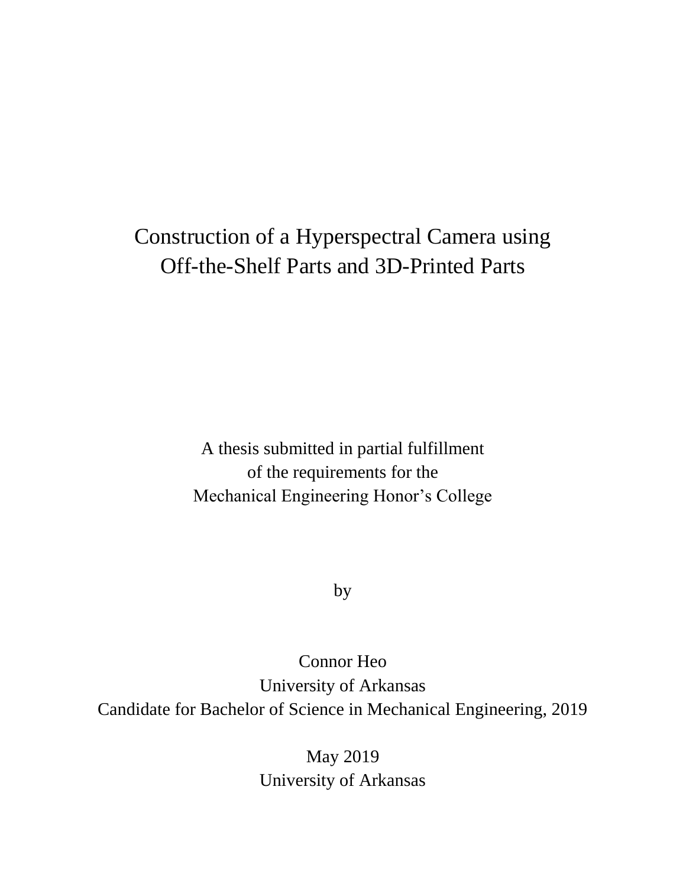# Construction of a Hyperspectral Camera using Off-the-Shelf Parts and 3D-Printed Parts

A thesis submitted in partial fulfillment of the requirements for the Mechanical Engineering Honor's College

by

Connor Heo University of Arkansas Candidate for Bachelor of Science in Mechanical Engineering, 2019

> May 2019 University of Arkansas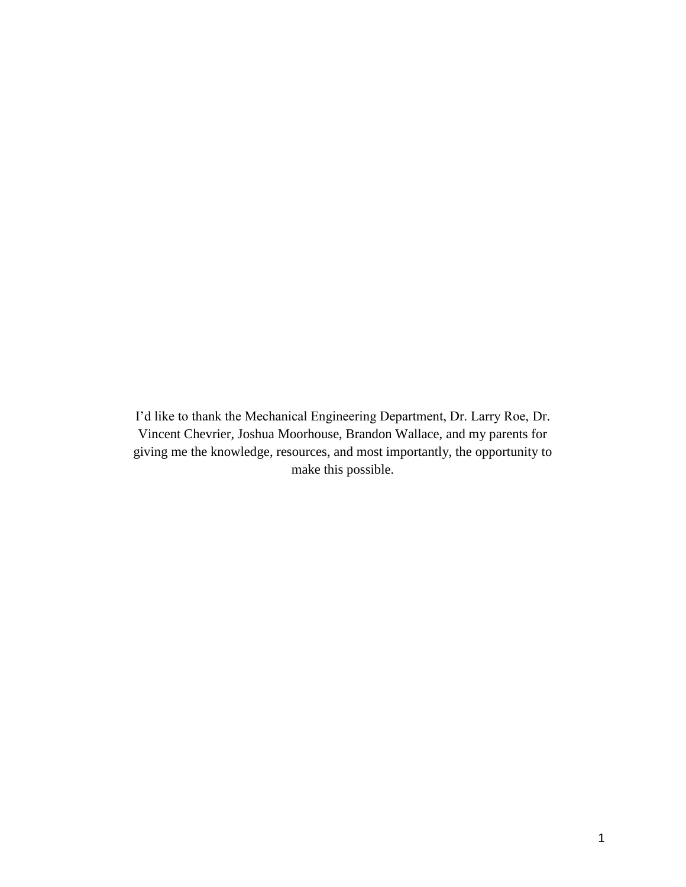I'd like to thank the Mechanical Engineering Department, Dr. Larry Roe, Dr. Vincent Chevrier, Joshua Moorhouse, Brandon Wallace, and my parents for giving me the knowledge, resources, and most importantly, the opportunity to make this possible.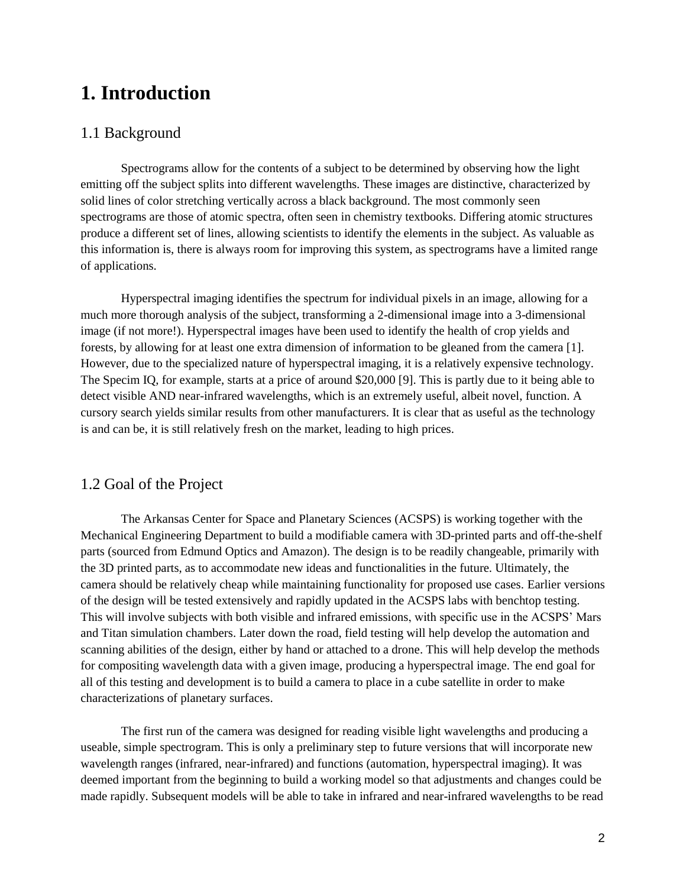# **1. Introduction**

#### 1.1 Background

Spectrograms allow for the contents of a subject to be determined by observing how the light emitting off the subject splits into different wavelengths. These images are distinctive, characterized by solid lines of color stretching vertically across a black background. The most commonly seen spectrograms are those of atomic spectra, often seen in chemistry textbooks. Differing atomic structures produce a different set of lines, allowing scientists to identify the elements in the subject. As valuable as this information is, there is always room for improving this system, as spectrograms have a limited range of applications.

Hyperspectral imaging identifies the spectrum for individual pixels in an image, allowing for a much more thorough analysis of the subject, transforming a 2-dimensional image into a 3-dimensional image (if not more!). Hyperspectral images have been used to identify the health of crop yields and forests, by allowing for at least one extra dimension of information to be gleaned from the camera [1]. However, due to the specialized nature of hyperspectral imaging, it is a relatively expensive technology. The Specim IQ, for example, starts at a price of around \$20,000 [9]. This is partly due to it being able to detect visible AND near-infrared wavelengths, which is an extremely useful, albeit novel, function. A cursory search yields similar results from other manufacturers. It is clear that as useful as the technology is and can be, it is still relatively fresh on the market, leading to high prices.

#### 1.2 Goal of the Project

The Arkansas Center for Space and Planetary Sciences (ACSPS) is working together with the Mechanical Engineering Department to build a modifiable camera with 3D-printed parts and off-the-shelf parts (sourced from Edmund Optics and Amazon). The design is to be readily changeable, primarily with the 3D printed parts, as to accommodate new ideas and functionalities in the future. Ultimately, the camera should be relatively cheap while maintaining functionality for proposed use cases. Earlier versions of the design will be tested extensively and rapidly updated in the ACSPS labs with benchtop testing. This will involve subjects with both visible and infrared emissions, with specific use in the ACSPS' Mars and Titan simulation chambers. Later down the road, field testing will help develop the automation and scanning abilities of the design, either by hand or attached to a drone. This will help develop the methods for compositing wavelength data with a given image, producing a hyperspectral image. The end goal for all of this testing and development is to build a camera to place in a cube satellite in order to make characterizations of planetary surfaces.

The first run of the camera was designed for reading visible light wavelengths and producing a useable, simple spectrogram. This is only a preliminary step to future versions that will incorporate new wavelength ranges (infrared, near-infrared) and functions (automation, hyperspectral imaging). It was deemed important from the beginning to build a working model so that adjustments and changes could be made rapidly. Subsequent models will be able to take in infrared and near-infrared wavelengths to be read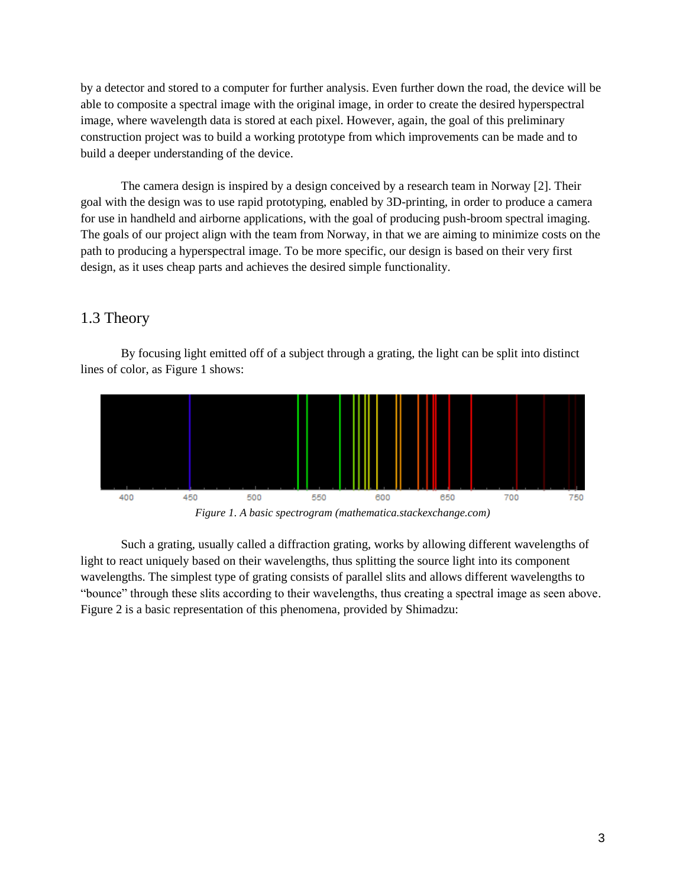by a detector and stored to a computer for further analysis. Even further down the road, the device will be able to composite a spectral image with the original image, in order to create the desired hyperspectral image, where wavelength data is stored at each pixel. However, again, the goal of this preliminary construction project was to build a working prototype from which improvements can be made and to build a deeper understanding of the device.

The camera design is inspired by a design conceived by a research team in Norway [2]. Their goal with the design was to use rapid prototyping, enabled by 3D-printing, in order to produce a camera for use in handheld and airborne applications, with the goal of producing push-broom spectral imaging. The goals of our project align with the team from Norway, in that we are aiming to minimize costs on the path to producing a hyperspectral image. To be more specific, our design is based on their very first design, as it uses cheap parts and achieves the desired simple functionality.

#### 1.3 Theory

By focusing light emitted off of a subject through a grating, the light can be split into distinct lines of color, as Figure 1 shows:



*Figure 1. A basic spectrogram (mathematica.stackexchange.com)*

Such a grating, usually called a diffraction grating, works by allowing different wavelengths of light to react uniquely based on their wavelengths, thus splitting the source light into its component wavelengths. The simplest type of grating consists of parallel slits and allows different wavelengths to "bounce" through these slits according to their wavelengths, thus creating a spectral image as seen above. Figure 2 is a basic representation of this phenomena, provided by Shimadzu: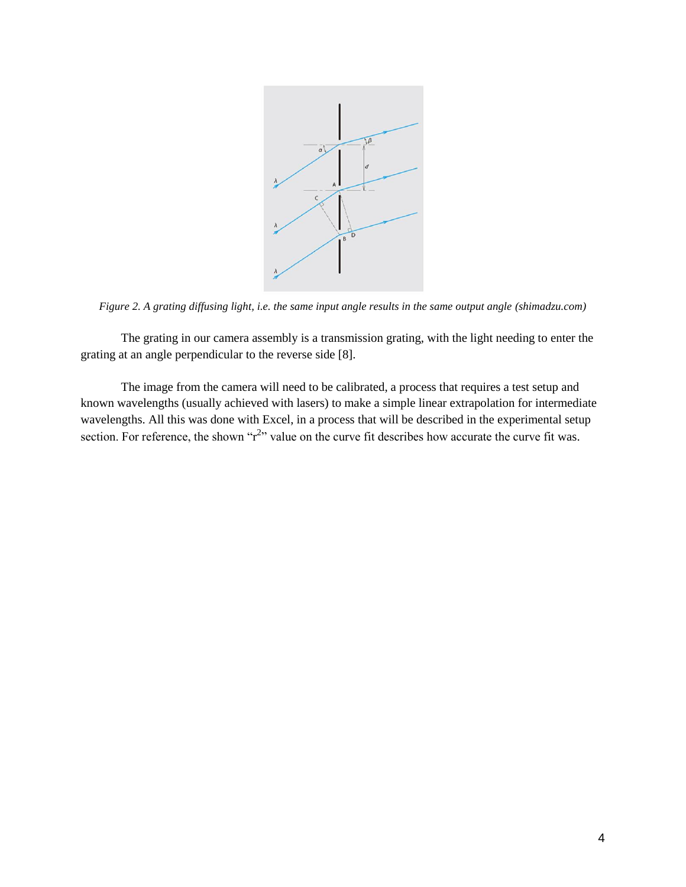

*Figure 2. A grating diffusing light, i.e. the same input angle results in the same output angle (shimadzu.com)*

The grating in our camera assembly is a transmission grating, with the light needing to enter the grating at an angle perpendicular to the reverse side [8].

The image from the camera will need to be calibrated, a process that requires a test setup and known wavelengths (usually achieved with lasers) to make a simple linear extrapolation for intermediate wavelengths. All this was done with Excel, in a process that will be described in the experimental setup section. For reference, the shown " $r^{2}$ " value on the curve fit describes how accurate the curve fit was.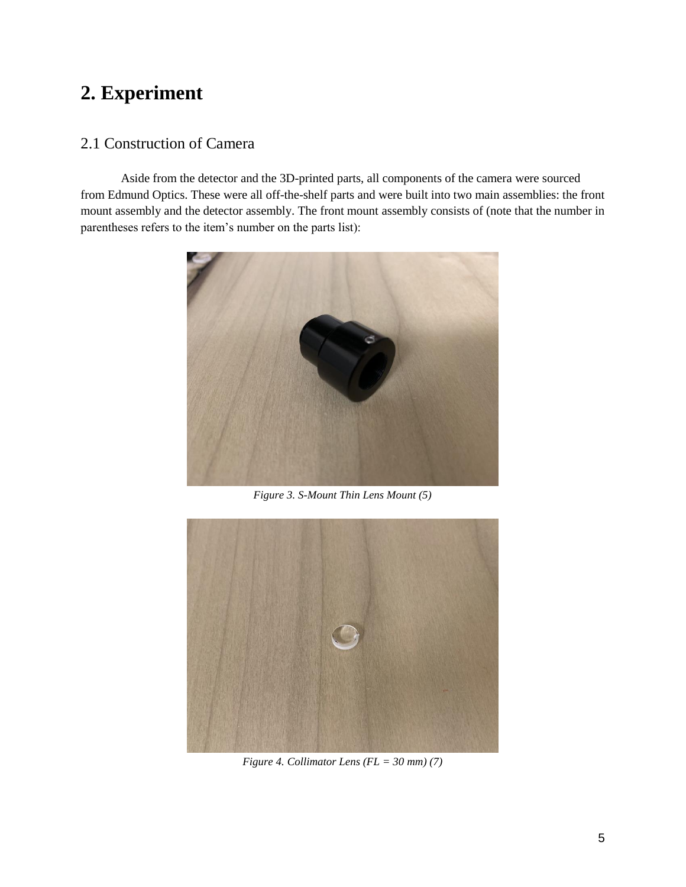# **2. Experiment**

### 2.1 Construction of Camera

Aside from the detector and the 3D-printed parts, all components of the camera were sourced from Edmund Optics. These were all off-the-shelf parts and were built into two main assemblies: the front mount assembly and the detector assembly. The front mount assembly consists of (note that the number in parentheses refers to the item's number on the parts list):



*Figure 3. S-Mount Thin Lens Mount (5)*



*Figure 4. Collimator Lens (FL = 30 mm) (7)*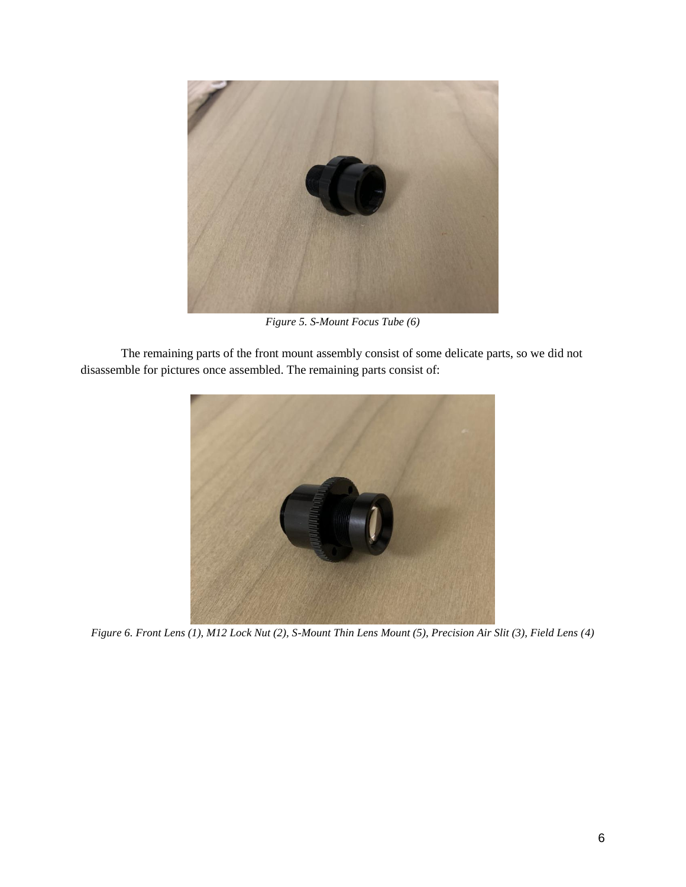

*Figure 5. S-Mount Focus Tube (6)*

The remaining parts of the front mount assembly consist of some delicate parts, so we did not disassemble for pictures once assembled. The remaining parts consist of:



*Figure 6. Front Lens (1), M12 Lock Nut (2), S-Mount Thin Lens Mount (5), Precision Air Slit (3), Field Lens (4)*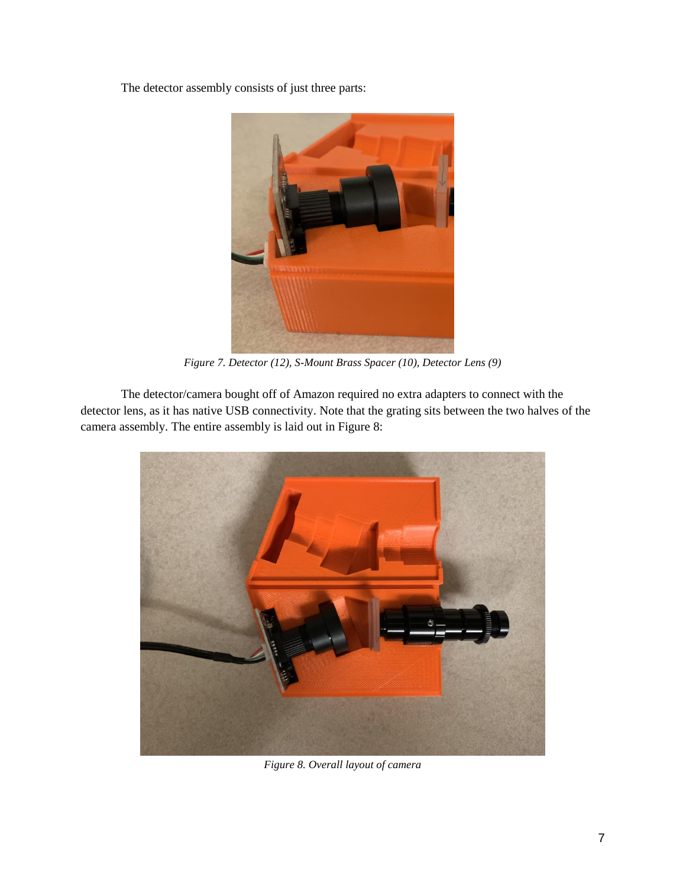The detector assembly consists of just three parts:



*Figure 7. Detector (12), S-Mount Brass Spacer (10), Detector Lens (9)*

The detector/camera bought off of Amazon required no extra adapters to connect with the detector lens, as it has native USB connectivity. Note that the grating sits between the two halves of the camera assembly. The entire assembly is laid out in Figure 8:



*Figure 8. Overall layout of camera*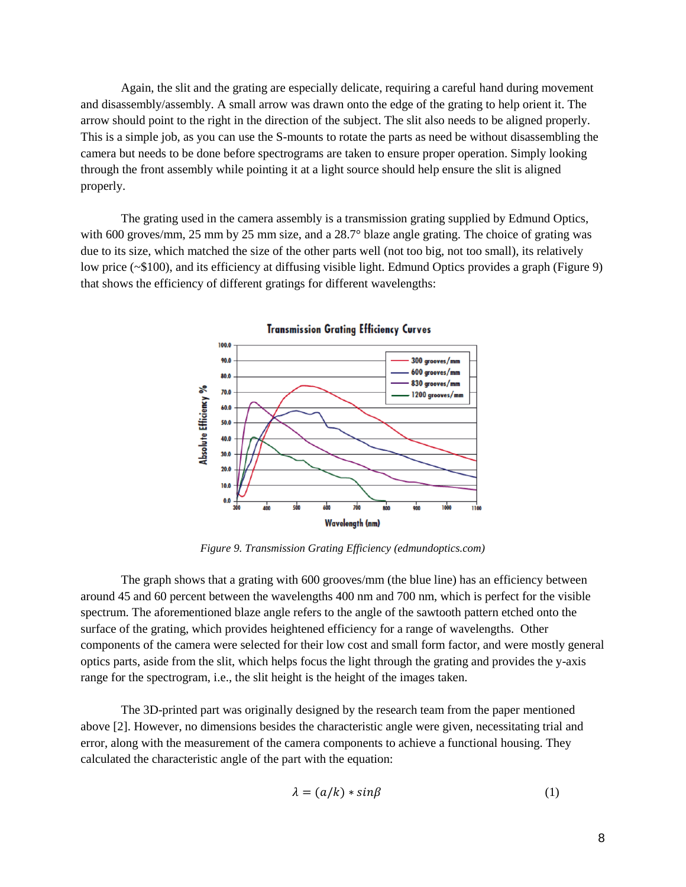Again, the slit and the grating are especially delicate, requiring a careful hand during movement and disassembly/assembly. A small arrow was drawn onto the edge of the grating to help orient it. The arrow should point to the right in the direction of the subject. The slit also needs to be aligned properly. This is a simple job, as you can use the S-mounts to rotate the parts as need be without disassembling the camera but needs to be done before spectrograms are taken to ensure proper operation. Simply looking through the front assembly while pointing it at a light source should help ensure the slit is aligned properly.

The grating used in the camera assembly is a transmission grating supplied by Edmund Optics, with 600 groves/mm, 25 mm by 25 mm size, and a 28.7° blaze angle grating. The choice of grating was due to its size, which matched the size of the other parts well (not too big, not too small), its relatively low price (~\$100), and its efficiency at diffusing visible light. Edmund Optics provides a graph (Figure 9) that shows the efficiency of different gratings for different wavelengths:



**Transmission Grating Efficiency Curves** 

*Figure 9. Transmission Grating Efficiency (edmundoptics.com)*

The graph shows that a grating with 600 grooves/mm (the blue line) has an efficiency between around 45 and 60 percent between the wavelengths 400 nm and 700 nm, which is perfect for the visible spectrum. The aforementioned blaze angle refers to the angle of the sawtooth pattern etched onto the surface of the grating, which provides heightened efficiency for a range of wavelengths. Other components of the camera were selected for their low cost and small form factor, and were mostly general optics parts, aside from the slit, which helps focus the light through the grating and provides the y-axis range for the spectrogram, i.e., the slit height is the height of the images taken.

The 3D-printed part was originally designed by the research team from the paper mentioned above [2]. However, no dimensions besides the characteristic angle were given, necessitating trial and error, along with the measurement of the camera components to achieve a functional housing. They calculated the characteristic angle of the part with the equation:

$$
\lambda = (a/k) * sin\beta \tag{1}
$$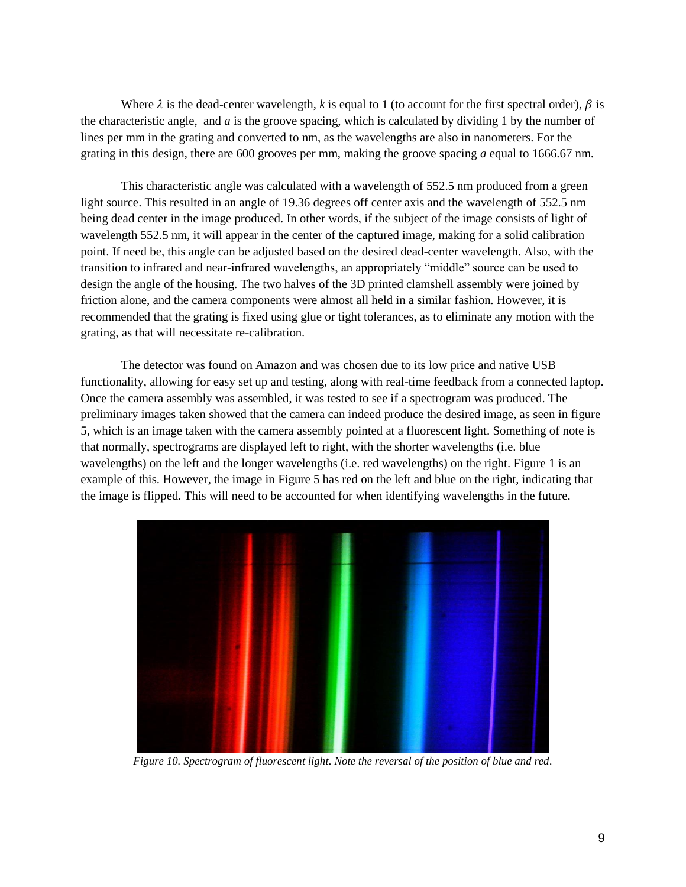Where  $\lambda$  is the dead-center wavelength,  $k$  is equal to 1 (to account for the first spectral order),  $\beta$  is the characteristic angle, and *a* is the groove spacing, which is calculated by dividing 1 by the number of lines per mm in the grating and converted to nm, as the wavelengths are also in nanometers. For the grating in this design, there are 600 grooves per mm, making the groove spacing *a* equal to 1666.67 nm.

This characteristic angle was calculated with a wavelength of 552.5 nm produced from a green light source. This resulted in an angle of 19.36 degrees off center axis and the wavelength of 552.5 nm being dead center in the image produced. In other words, if the subject of the image consists of light of wavelength 552.5 nm, it will appear in the center of the captured image, making for a solid calibration point. If need be, this angle can be adjusted based on the desired dead-center wavelength. Also, with the transition to infrared and near-infrared wavelengths, an appropriately "middle" source can be used to design the angle of the housing. The two halves of the 3D printed clamshell assembly were joined by friction alone, and the camera components were almost all held in a similar fashion. However, it is recommended that the grating is fixed using glue or tight tolerances, as to eliminate any motion with the grating, as that will necessitate re-calibration.

The detector was found on Amazon and was chosen due to its low price and native USB functionality, allowing for easy set up and testing, along with real-time feedback from a connected laptop. Once the camera assembly was assembled, it was tested to see if a spectrogram was produced. The preliminary images taken showed that the camera can indeed produce the desired image, as seen in figure 5, which is an image taken with the camera assembly pointed at a fluorescent light. Something of note is that normally, spectrograms are displayed left to right, with the shorter wavelengths (i.e. blue wavelengths) on the left and the longer wavelengths (i.e. red wavelengths) on the right. Figure 1 is an example of this. However, the image in Figure 5 has red on the left and blue on the right, indicating that the image is flipped. This will need to be accounted for when identifying wavelengths in the future.



*Figure 10. Spectrogram of fluorescent light. Note the reversal of the position of blue and red.*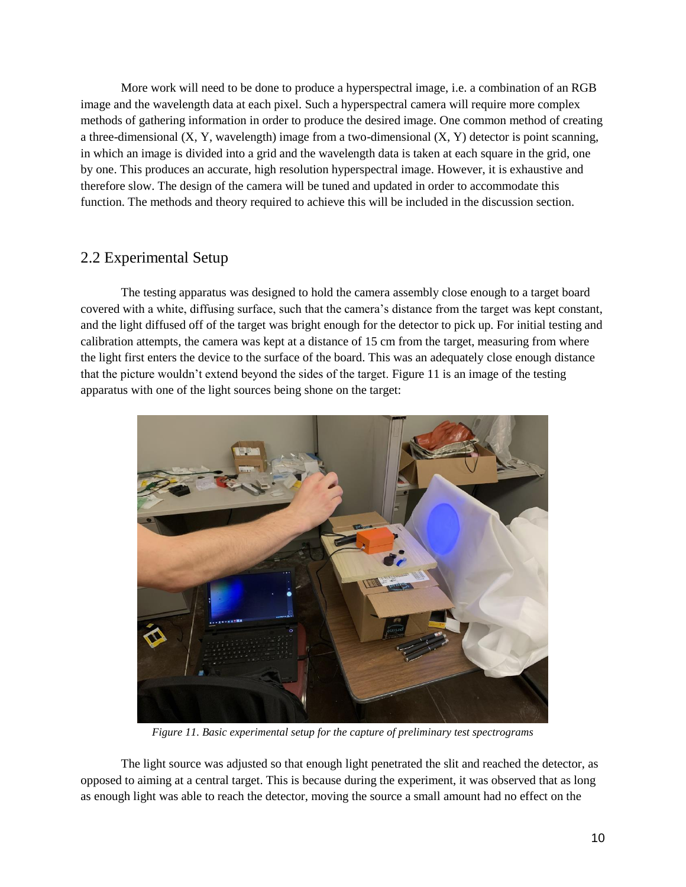More work will need to be done to produce a hyperspectral image, i.e. a combination of an RGB image and the wavelength data at each pixel. Such a hyperspectral camera will require more complex methods of gathering information in order to produce the desired image. One common method of creating a three-dimensional  $(X, Y, wavelength)$  image from a two-dimensional  $(X, Y)$  detector is point scanning, in which an image is divided into a grid and the wavelength data is taken at each square in the grid, one by one. This produces an accurate, high resolution hyperspectral image. However, it is exhaustive and therefore slow. The design of the camera will be tuned and updated in order to accommodate this function. The methods and theory required to achieve this will be included in the discussion section.

#### 2.2 Experimental Setup

The testing apparatus was designed to hold the camera assembly close enough to a target board covered with a white, diffusing surface, such that the camera's distance from the target was kept constant, and the light diffused off of the target was bright enough for the detector to pick up. For initial testing and calibration attempts, the camera was kept at a distance of 15 cm from the target, measuring from where the light first enters the device to the surface of the board. This was an adequately close enough distance that the picture wouldn't extend beyond the sides of the target. Figure 11 is an image of the testing apparatus with one of the light sources being shone on the target:



*Figure 11. Basic experimental setup for the capture of preliminary test spectrograms*

The light source was adjusted so that enough light penetrated the slit and reached the detector, as opposed to aiming at a central target. This is because during the experiment, it was observed that as long as enough light was able to reach the detector, moving the source a small amount had no effect on the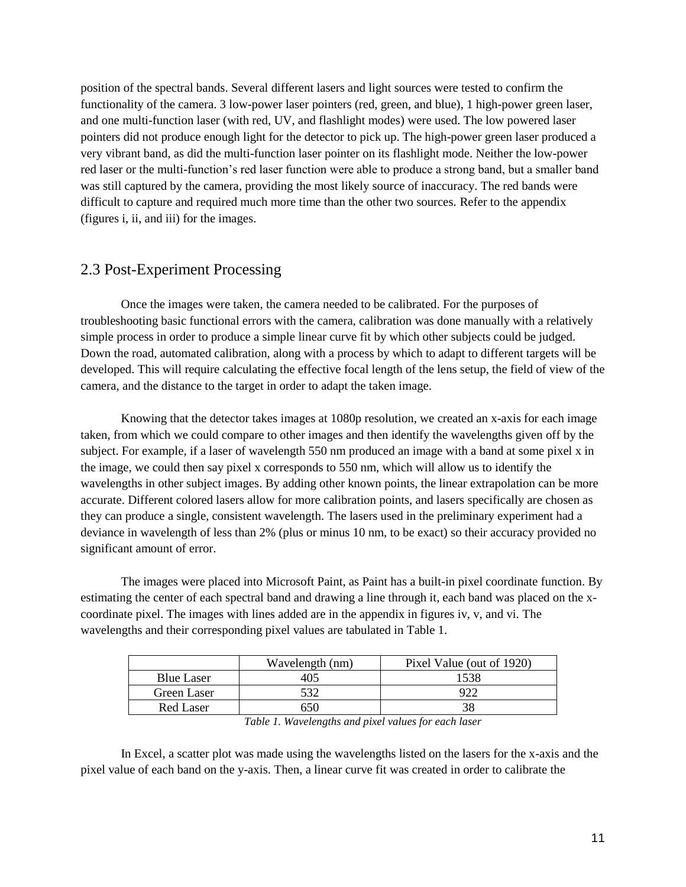position of the spectral bands. Several different lasers and light sources were tested to confirm the functionality of the camera. 3 low-power laser pointers (red, green, and blue), 1 high-power green laser, and one multi-function laser (with red, UV, and flashlight modes) were used. The low powered laser pointers did not produce enough light for the detector to pick up. The high-power green laser produced a very vibrant band, as did the multi-function laser pointer on its flashlight mode. Neither the low-power red laser or the multi-function's red laser function were able to produce a strong band, but a smaller band was still captured by the camera, providing the most likely source of inaccuracy. The red bands were difficult to capture and required much more time than the other two sources. Refer to the appendix (figures i, ii, and iii) for the images.

#### 2.3 Post-Experiment Processing

Once the images were taken, the camera needed to be calibrated. For the purposes of troubleshooting basic functional errors with the camera, calibration was done manually with a relatively simple process in order to produce a simple linear curve fit by which other subjects could be judged. Down the road, automated calibration, along with a process by which to adapt to different targets will be developed. This will require calculating the effective focal length of the lens setup, the field of view of the camera, and the distance to the target in order to adapt the taken image.

Knowing that the detector takes images at 1080p resolution, we created an x-axis for each image taken, from which we could compare to other images and then identify the wavelengths given off by the subject. For example, if a laser of wavelength 550 nm produced an image with a band at some pixel x in the image, we could then say pixel x corresponds to 550 nm, which will allow us to identify the wavelengths in other subject images. By adding other known points, the linear extrapolation can be more accurate. Different colored lasers allow for more calibration points, and lasers specifically are chosen as they can produce a single, consistent wavelength. The lasers used in the preliminary experiment had a deviance in wavelength of less than 2% (plus or minus 10 nm, to be exact) so their accuracy provided no significant amount of error.

The images were placed into Microsoft Paint, as Paint has a built-in pixel coordinate function. By estimating the center of each spectral band and drawing a line through it, each band was placed on the xcoordinate pixel. The images with lines added are in the appendix in figures iv, v, and vi. The wavelengths and their corresponding pixel values are tabulated in Table 1.

|                   | Wavelength (nm) | Pixel Value (out of 1920) |
|-------------------|-----------------|---------------------------|
| <b>Blue Laser</b> | 405             | 1538                      |
| Green Laser       |                 |                           |
| Red Laser         | 50              |                           |

*Table 1. Wavelengths and pixel values for each laser*

In Excel, a scatter plot was made using the wavelengths listed on the lasers for the x-axis and the pixel value of each band on the y-axis. Then, a linear curve fit was created in order to calibrate the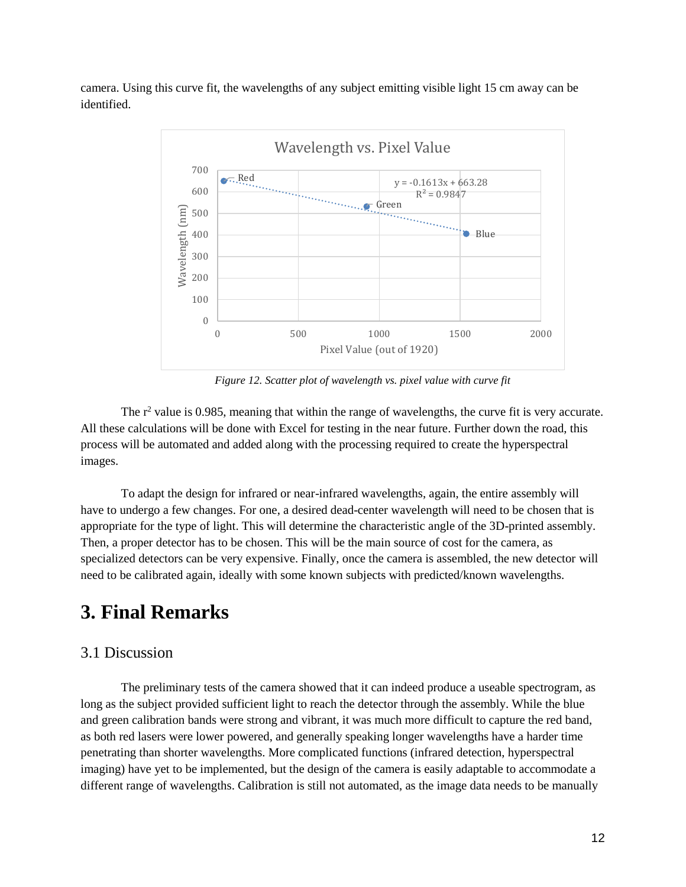camera. Using this curve fit, the wavelengths of any subject emitting visible light 15 cm away can be identified.



*Figure 12. Scatter plot of wavelength vs. pixel value with curve fit*

The  $r^2$  value is 0.985, meaning that within the range of wavelengths, the curve fit is very accurate. All these calculations will be done with Excel for testing in the near future. Further down the road, this process will be automated and added along with the processing required to create the hyperspectral images.

To adapt the design for infrared or near-infrared wavelengths, again, the entire assembly will have to undergo a few changes. For one, a desired dead-center wavelength will need to be chosen that is appropriate for the type of light. This will determine the characteristic angle of the 3D-printed assembly. Then, a proper detector has to be chosen. This will be the main source of cost for the camera, as specialized detectors can be very expensive. Finally, once the camera is assembled, the new detector will need to be calibrated again, ideally with some known subjects with predicted/known wavelengths.

## **3. Final Remarks**

#### 3.1 Discussion

The preliminary tests of the camera showed that it can indeed produce a useable spectrogram, as long as the subject provided sufficient light to reach the detector through the assembly. While the blue and green calibration bands were strong and vibrant, it was much more difficult to capture the red band, as both red lasers were lower powered, and generally speaking longer wavelengths have a harder time penetrating than shorter wavelengths. More complicated functions (infrared detection, hyperspectral imaging) have yet to be implemented, but the design of the camera is easily adaptable to accommodate a different range of wavelengths. Calibration is still not automated, as the image data needs to be manually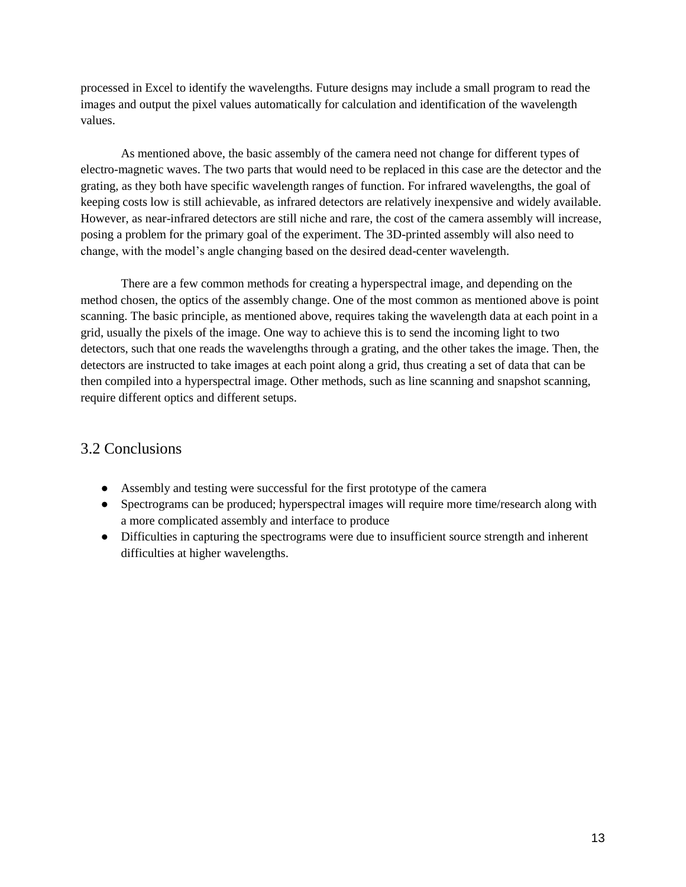processed in Excel to identify the wavelengths. Future designs may include a small program to read the images and output the pixel values automatically for calculation and identification of the wavelength values.

As mentioned above, the basic assembly of the camera need not change for different types of electro-magnetic waves. The two parts that would need to be replaced in this case are the detector and the grating, as they both have specific wavelength ranges of function. For infrared wavelengths, the goal of keeping costs low is still achievable, as infrared detectors are relatively inexpensive and widely available. However, as near-infrared detectors are still niche and rare, the cost of the camera assembly will increase, posing a problem for the primary goal of the experiment. The 3D-printed assembly will also need to change, with the model's angle changing based on the desired dead-center wavelength.

There are a few common methods for creating a hyperspectral image, and depending on the method chosen, the optics of the assembly change. One of the most common as mentioned above is point scanning. The basic principle, as mentioned above, requires taking the wavelength data at each point in a grid, usually the pixels of the image. One way to achieve this is to send the incoming light to two detectors, such that one reads the wavelengths through a grating, and the other takes the image. Then, the detectors are instructed to take images at each point along a grid, thus creating a set of data that can be then compiled into a hyperspectral image. Other methods, such as line scanning and snapshot scanning, require different optics and different setups.

### 3.2 Conclusions

- Assembly and testing were successful for the first prototype of the camera
- Spectrograms can be produced; hyperspectral images will require more time/research along with a more complicated assembly and interface to produce
- Difficulties in capturing the spectrograms were due to insufficient source strength and inherent difficulties at higher wavelengths.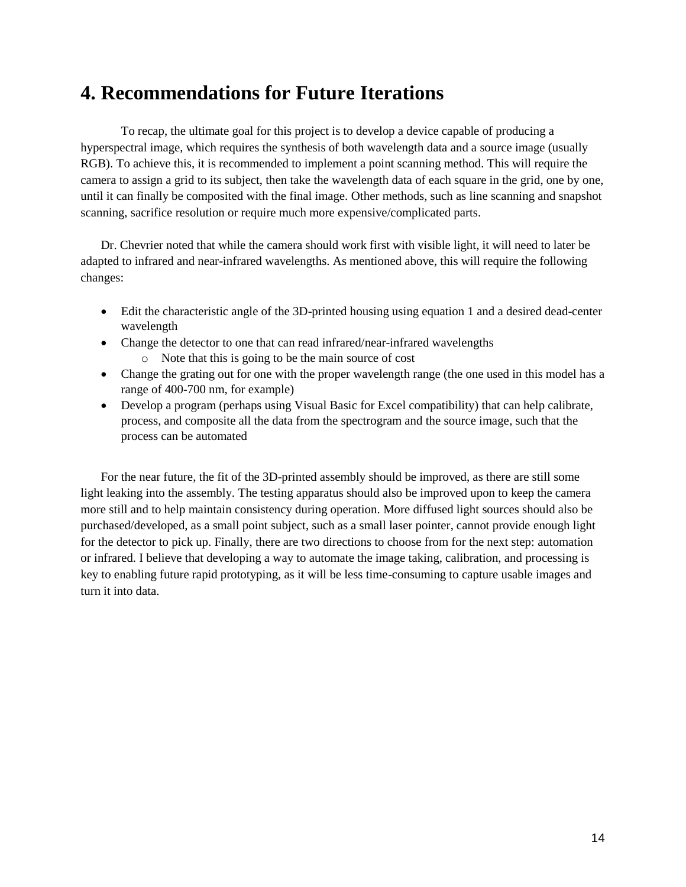# **4. Recommendations for Future Iterations**

To recap, the ultimate goal for this project is to develop a device capable of producing a hyperspectral image, which requires the synthesis of both wavelength data and a source image (usually RGB). To achieve this, it is recommended to implement a point scanning method. This will require the camera to assign a grid to its subject, then take the wavelength data of each square in the grid, one by one, until it can finally be composited with the final image. Other methods, such as line scanning and snapshot scanning, sacrifice resolution or require much more expensive/complicated parts.

Dr. Chevrier noted that while the camera should work first with visible light, it will need to later be adapted to infrared and near-infrared wavelengths. As mentioned above, this will require the following changes:

- Edit the characteristic angle of the 3D-printed housing using equation 1 and a desired dead-center wavelength
- Change the detector to one that can read infrared/near-infrared wavelengths
	- o Note that this is going to be the main source of cost
- Change the grating out for one with the proper wavelength range (the one used in this model has a range of 400-700 nm, for example)
- Develop a program (perhaps using Visual Basic for Excel compatibility) that can help calibrate, process, and composite all the data from the spectrogram and the source image, such that the process can be automated

For the near future, the fit of the 3D-printed assembly should be improved, as there are still some light leaking into the assembly. The testing apparatus should also be improved upon to keep the camera more still and to help maintain consistency during operation. More diffused light sources should also be purchased/developed, as a small point subject, such as a small laser pointer, cannot provide enough light for the detector to pick up. Finally, there are two directions to choose from for the next step: automation or infrared. I believe that developing a way to automate the image taking, calibration, and processing is key to enabling future rapid prototyping, as it will be less time-consuming to capture usable images and turn it into data.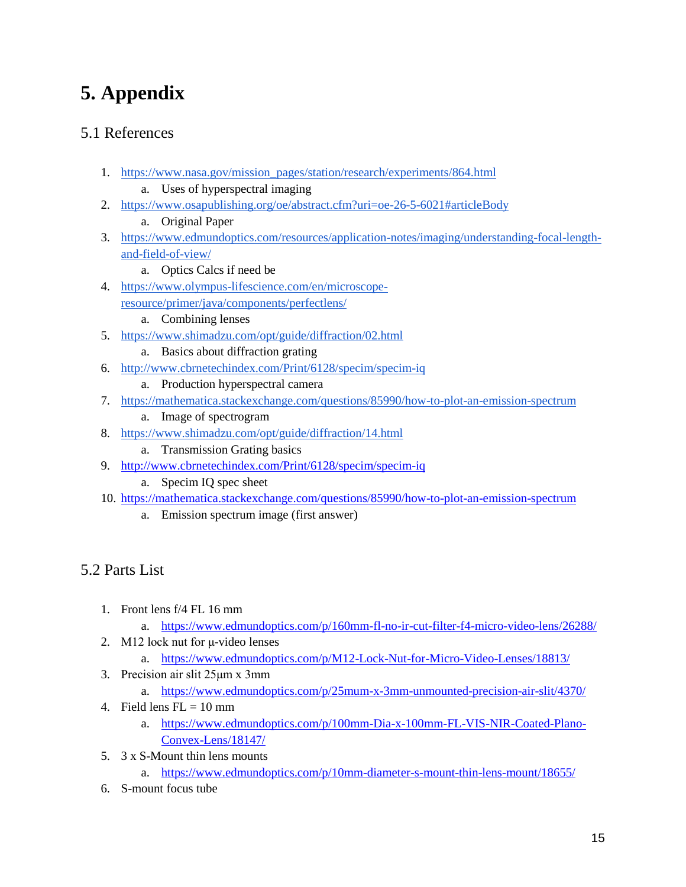# **5. Appendix**

## 5.1 References

- 1. [https://www.nasa.gov/mission\\_pages/station/research/experiments/864.html](https://www.nasa.gov/mission_pages/station/research/experiments/864.html)
	- a. Uses of hyperspectral imaging
- 2. <https://www.osapublishing.org/oe/abstract.cfm?uri=oe-26-5-6021#articleBody>
	- a. Original Paper
- 3. [https://www.edmundoptics.com/resources/application-notes/imaging/understanding-focal-length](https://www.edmundoptics.com/resources/application-notes/imaging/understanding-focal-length-and-field-of-view/)[and-field-of-view/](https://www.edmundoptics.com/resources/application-notes/imaging/understanding-focal-length-and-field-of-view/)
	- a. Optics Calcs if need be
- 4. [https://www.olympus-lifescience.com/en/microscope](https://www.olympus-lifescience.com/en/microscope-resource/primer/java/components/perfectlens/)[resource/primer/java/components/perfectlens/](https://www.olympus-lifescience.com/en/microscope-resource/primer/java/components/perfectlens/)
	- a. Combining lenses
- 5. <https://www.shimadzu.com/opt/guide/diffraction/02.html>
	- a. Basics about diffraction grating
- 6. <http://www.cbrnetechindex.com/Print/6128/specim/specim-iq>
	- a. Production hyperspectral camera
- 7. <https://mathematica.stackexchange.com/questions/85990/how-to-plot-an-emission-spectrum>
	- a. Image of spectrogram
- 8. <https://www.shimadzu.com/opt/guide/diffraction/14.html>
	- a. Transmission Grating basics
- 9. <http://www.cbrnetechindex.com/Print/6128/specim/specim-iq>
	- a. Specim IQ spec sheet
- 10. <https://mathematica.stackexchange.com/questions/85990/how-to-plot-an-emission-spectrum>
	- a. Emission spectrum image (first answer)

## 5.2 Parts List

- 1. Front lens f/4 FL 16 mm
	- a. <https://www.edmundoptics.com/p/160mm-fl-no-ir-cut-filter-f4-micro-video-lens/26288/>
- 2. M12 lock nut for μ-video lenses
	- a. <https://www.edmundoptics.com/p/M12-Lock-Nut-for-Micro-Video-Lenses/18813/>
- 3. Precision air slit 25μm x 3mm
	- a. <https://www.edmundoptics.com/p/25mum-x-3mm-unmounted-precision-air-slit/4370/>
- 4. Field lens  $FL = 10$  mm
	- a. [https://www.edmundoptics.com/p/100mm-Dia-x-100mm-FL-VIS-NIR-Coated-Plano-](https://www.edmundoptics.com/p/100mm-Dia-x-100mm-FL-VIS-NIR-Coated-Plano-Convex-Lens/18147/)[Convex-Lens/18147/](https://www.edmundoptics.com/p/100mm-Dia-x-100mm-FL-VIS-NIR-Coated-Plano-Convex-Lens/18147/)
- 5. 3 x S-Mount thin lens mounts
	- a. <https://www.edmundoptics.com/p/10mm-diameter-s-mount-thin-lens-mount/18655/>
- 6. S-mount focus tube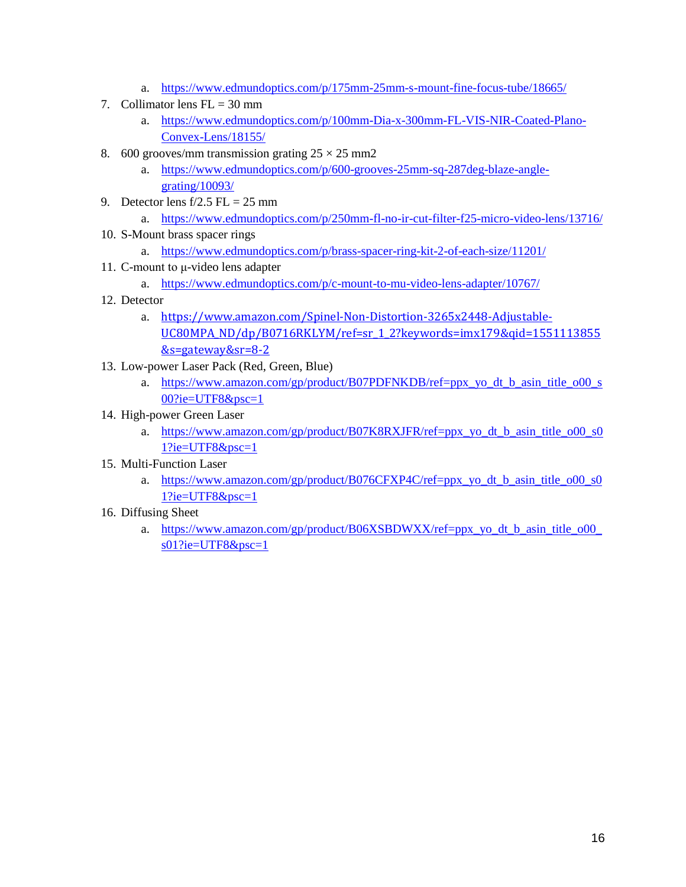- a. <https://www.edmundoptics.com/p/175mm-25mm-s-mount-fine-focus-tube/18665/>
- 7. Collimator lens  $FL = 30$  mm
	- a. [https://www.edmundoptics.com/p/100mm-Dia-x-300mm-FL-VIS-NIR-Coated-Plano-](https://www.edmundoptics.com/p/100mm-Dia-x-300mm-FL-VIS-NIR-Coated-Plano-Convex-Lens/18155/)[Convex-Lens/18155/](https://www.edmundoptics.com/p/100mm-Dia-x-300mm-FL-VIS-NIR-Coated-Plano-Convex-Lens/18155/)
- 8. 600 grooves/mm transmission grating  $25 \times 25$  mm2
	- a. [https://www.edmundoptics.com/p/600-grooves-25mm-sq-287deg-blaze-angle](https://www.edmundoptics.com/p/600-grooves-25mm-sq-287deg-blaze-angle-grating/10093/)[grating/10093/](https://www.edmundoptics.com/p/600-grooves-25mm-sq-287deg-blaze-angle-grating/10093/)
- 9. Detector lens  $f/2.5$  FL = 25 mm
	- a. <https://www.edmundoptics.com/p/250mm-fl-no-ir-cut-filter-f25-micro-video-lens/13716/>
- 10. S-Mount brass spacer rings
	- a. <https://www.edmundoptics.com/p/brass-spacer-ring-kit-2-of-each-size/11201/>
- 11. C-mount to μ-video lens adapter
	- a. <https://www.edmundoptics.com/p/c-mount-to-mu-video-lens-adapter/10767/>
- 12. Detector
	- a. [https://www.amazon.com/Spinel-Non-Distortion-3265x2448-Adjustable-](https://www.amazon.com/Spinel-Non-Distortion-3265x2448-Adjustable-UC80MPA_ND/dp/B0716RKLYM/ref=sr_1_2?keywords=imx179&qid=1551113855&s=gateway&sr=8-2)[UC80MPA\\_ND/dp/B0716RKLYM/ref=sr\\_1\\_2?keywords=imx179&qid=1551113855](https://www.amazon.com/Spinel-Non-Distortion-3265x2448-Adjustable-UC80MPA_ND/dp/B0716RKLYM/ref=sr_1_2?keywords=imx179&qid=1551113855&s=gateway&sr=8-2) [&s=gateway&sr=8-2](https://www.amazon.com/Spinel-Non-Distortion-3265x2448-Adjustable-UC80MPA_ND/dp/B0716RKLYM/ref=sr_1_2?keywords=imx179&qid=1551113855&s=gateway&sr=8-2)
- 13. Low-power Laser Pack (Red, Green, Blue)
	- a. [https://www.amazon.com/gp/product/B07PDFNKDB/ref=ppx\\_yo\\_dt\\_b\\_asin\\_title\\_o00\\_s](https://www.amazon.com/gp/product/B07PDFNKDB/ref=ppx_yo_dt_b_asin_title_o00_s00?ie=UTF8&psc=1) [00?ie=UTF8&psc=1](https://www.amazon.com/gp/product/B07PDFNKDB/ref=ppx_yo_dt_b_asin_title_o00_s00?ie=UTF8&psc=1)
- 14. High-power Green Laser
	- a. [https://www.amazon.com/gp/product/B07K8RXJFR/ref=ppx\\_yo\\_dt\\_b\\_asin\\_title\\_o00\\_s0](https://www.amazon.com/gp/product/B07K8RXJFR/ref=ppx_yo_dt_b_asin_title_o00_s01?ie=UTF8&psc=1) [1?ie=UTF8&psc=1](https://www.amazon.com/gp/product/B07K8RXJFR/ref=ppx_yo_dt_b_asin_title_o00_s01?ie=UTF8&psc=1)
- 15. Multi-Function Laser
	- a. [https://www.amazon.com/gp/product/B076CFXP4C/ref=ppx\\_yo\\_dt\\_b\\_asin\\_title\\_o00\\_s0](https://www.amazon.com/gp/product/B076CFXP4C/ref=ppx_yo_dt_b_asin_title_o00_s01?ie=UTF8&psc=1)  $1$ ?ie=UTF8 $&$ psc=1
- 16. Diffusing Sheet
	- a. [https://www.amazon.com/gp/product/B06XSBDWXX/ref=ppx\\_yo\\_dt\\_b\\_asin\\_title\\_o00\\_](https://www.amazon.com/gp/product/B06XSBDWXX/ref=ppx_yo_dt_b_asin_title_o00_s01?ie=UTF8&psc=1) [s01?ie=UTF8&psc=1](https://www.amazon.com/gp/product/B06XSBDWXX/ref=ppx_yo_dt_b_asin_title_o00_s01?ie=UTF8&psc=1)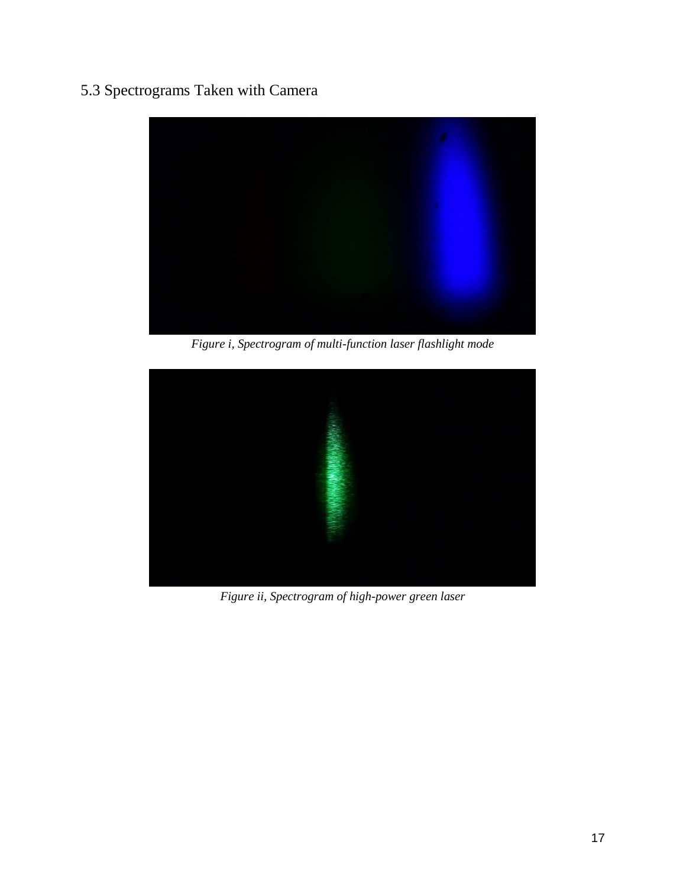## 5.3 Spectrograms Taken with Camera



*Figure i, Spectrogram of multi-function laser flashlight mode*



*Figure ii, Spectrogram of high-power green laser*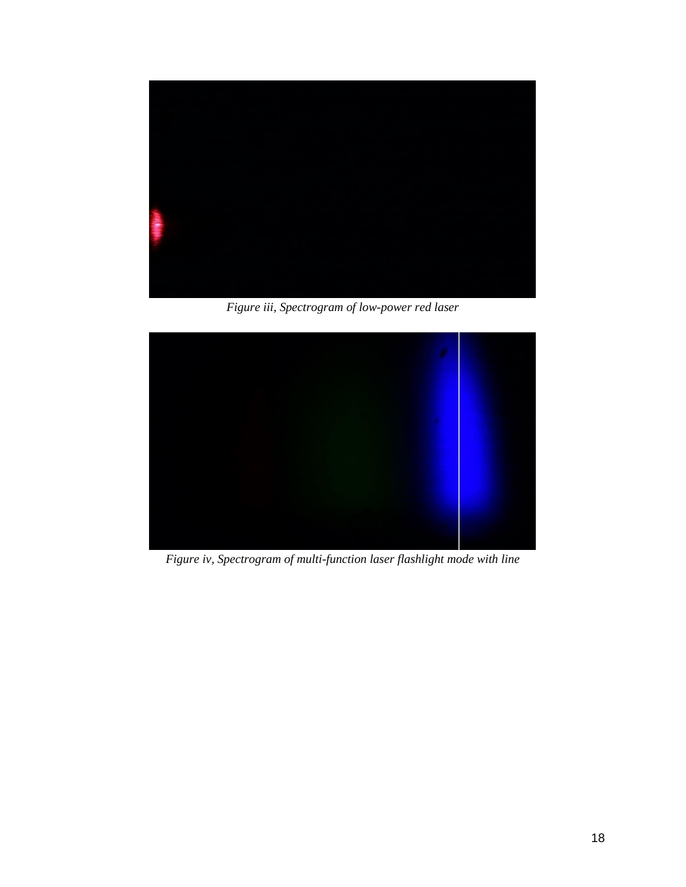

*Figure iii, Spectrogram of low-power red laser*



*Figure iv, Spectrogram of multi-function laser flashlight mode with line*